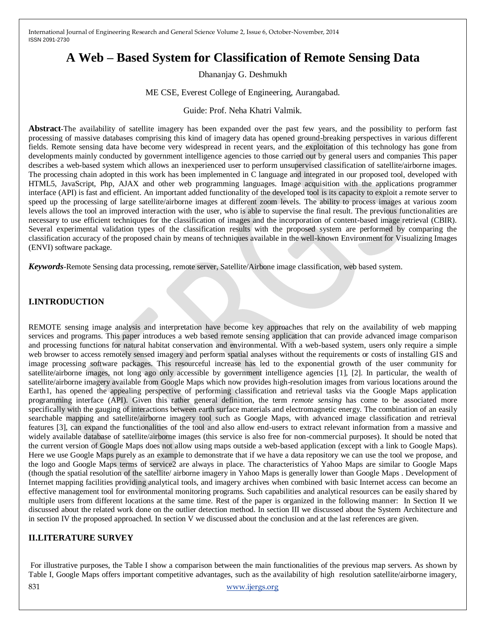# **A Web – Based System for Classification of Remote Sensing Data**

Dhananjay G. Deshmukh

#### ME CSE, Everest College of Engineering, Aurangabad.

#### Guide: Prof. Neha Khatri Valmik.

**Abstract***-*The availability of satellite imagery has been expanded over the past few years, and the possibility to perform fast processing of massive databases comprising this kind of imagery data has opened ground-breaking perspectives in various different fields. Remote sensing data have become very widespread in recent years, and the exploitation of this technology has gone from developments mainly conducted by government intelligence agencies to those carried out by general users and companies This paper describes a web-based system which allows an inexperienced user to perform unsupervised classification of satellite/airborne images. The processing chain adopted in this work has been implemented in C language and integrated in our proposed tool, developed with HTML5, JavaScript, Php, AJAX and other web programming languages. Image acquisition with the applications programmer interface (API) is fast and efficient. An important added functionality of the developed tool is its capacity to exploit a remote server to speed up the processing of large satellite/airborne images at different zoom levels. The ability to process images at various zoom levels allows the tool an improved interaction with the user, who is able to supervise the final result. The previous functionalities are necessary to use efficient techniques for the classification of images and the incorporation of content-based image retrieval (CBIR). Several experimental validation types of the classification results with the proposed system are performed by comparing the classification accuracy of the proposed chain by means of techniques available in the well-known Environment for Visualizing Images (ENVI) software package.

*Keywords-*Remote Sensing data processing, remote server, Satellite/Airbone image classification, web based system.

## **I.INTRODUCTION**

REMOTE sensing image analysis and interpretation have become key approaches that rely on the availability of web mapping services and programs. This paper introduces a web based remote sensing application that can provide advanced image comparison and processing functions for natural habitat conservation and environmental. With a web-based system, users only require a simple web browser to access remotely sensed imagery and perform spatial analyses without the requirements or costs of installing GIS and image processing software packages. This resourceful increase has led to the exponential growth of the user community for satellite/airborne images, not long ago only accessible by government intelligence agencies [1], [2]. In particular, the wealth of satellite/airborne imagery available from Google Maps which now provides high-resolution images from various locations around the Earth1, has opened the appealing perspective of performing classification and retrieval tasks via the Google Maps application programming interface (API). Given this rather general definition, the term *remote sensing* has come to be associated more specifically with the gauging of interactions between earth surface materials and electromagnetic energy. The combination of an easily searchable mapping and satellite/airborne imagery tool such as Google Maps, with advanced image classification and retrieval features [3], can expand the functionalities of the tool and also allow end-users to extract relevant information from a massive and widely available database of satellite/airborne images (this service is also free for non-commercial purposes). It should be noted that the current version of Google Maps does not allow using maps outside a web-based application (except with a link to Google Maps). Here we use Google Maps purely as an example to demonstrate that if we have a data repository we can use the tool we propose, and the logo and Google Maps terms of service2 are always in place. The characteristics of Yahoo Maps are similar to Google Maps (though the spatial resolution of the satellite/ airborne imagery in Yahoo Maps is generally lower than Google Maps . Development of Internet mapping facilities providing analytical tools, and imagery archives when combined with basic Internet access can become an effective management tool for environmental monitoring programs. Such capabilities and analytical resources can be easily shared by multiple users from different locations at the same time. Rest of the paper is organized in the following manner: In Section II we discussed about the related work done on the outlier detection method. In section III we discussed about the System Architecture and in section IV the proposed approached. In section V we discussed about the conclusion and at the last references are given.

## **II.LITERATURE SURVEY**

For illustrative purposes, the Table I show a comparison between the main functionalities of the previous map servers. As shown by Table I, Google Maps offers important competitive advantages, such as the availability of high resolution satellite/airborne imagery,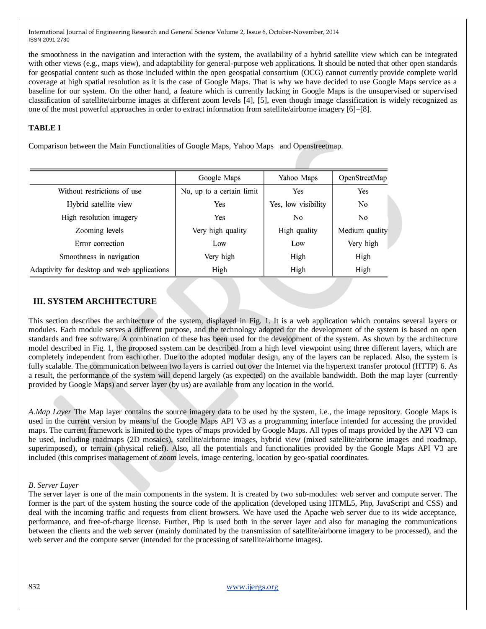the smoothness in the navigation and interaction with the system, the availability of a hybrid satellite view which can be integrated with other views (e.g., maps view), and adaptability for general-purpose web applications. It should be noted that other open standards for geospatial content such as those included within the open geospatial consortium (OCG) cannot currently provide complete world coverage at high spatial resolution as it is the case of Google Maps. That is why we have decided to use Google Maps service as a baseline for our system. On the other hand, a feature which is currently lacking in Google Maps is the unsupervised or supervised classification of satellite/airborne images at different zoom levels [4], [5], even though image classification is widely recognized as one of the most powerful approaches in order to extract information from satellite/airborne imagery [6]–[8].

#### **TABLE I**

Comparison between the Main Functionalities of Google Maps, Yahoo Maps and Openstreetmap.

|                                             | Google Maps               | Yahoo Maps          | OpenStreetMap  |
|---------------------------------------------|---------------------------|---------------------|----------------|
| Without restrictions of use                 | No, up to a certain limit | Yes                 | Yes            |
| Hybrid satellite view                       | Yes                       | Yes, low visibility | No             |
| High resolution imagery                     | Yes                       | No.                 | N <sub>0</sub> |
| Zooming levels                              | Very high quality         | High quality        | Medium quality |
| Error correction                            | Low                       | Low                 | Very high      |
| Smoothness in navigation                    | Very high                 | High                | High           |
| Adaptivity for desktop and web applications | High                      | High                | High           |

## **III. SYSTEM ARCHITECTURE**

This section describes the architecture of the system, displayed in Fig. 1. It is a web application which contains several layers or modules. Each module serves a different purpose, and the technology adopted for the development of the system is based on open standards and free software. A combination of these has been used for the development of the system. As shown by the architecture model described in Fig. 1, the proposed system can be described from a high level viewpoint using three different layers, which are completely independent from each other. Due to the adopted modular design, any of the layers can be replaced. Also, the system is fully scalable. The communication between two layers is carried out over the Internet via the hypertext transfer protocol (HTTP) 6. As a result, the performance of the system will depend largely (as expected) on the available bandwidth. Both the map layer (currently provided by Google Maps) and server layer (by us) are available from any location in the world.

*A.Map Layer* The Map layer contains the source imagery data to be used by the system, i.e., the image repository. Google Maps is used in the current version by means of the Google Maps API V3 as a programming interface intended for accessing the provided maps. The current framework is limited to the types of maps provided by Google Maps. All types of maps provided by the API V3 can be used, including roadmaps (2D mosaics), satellite/airborne images, hybrid view (mixed satellite/airborne images and roadmap, superimposed), or terrain (physical relief). Also, all the potentials and functionalities provided by the Google Maps API V3 are included (this comprises management of zoom levels, image centering, location by geo-spatial coordinates.

#### *B. Server Layer*

The server layer is one of the main components in the system. It is created by two sub-modules: web server and compute server. The former is the part of the system hosting the source code of the application (developed using HTML5, Php, JavaScript and CSS) and deal with the incoming traffic and requests from client browsers. We have used the Apache web server due to its wide acceptance, performance, and free-of-charge license. Further, Php is used both in the server layer and also for managing the communications between the clients and the web server (mainly dominated by the transmission of satellite/airborne imagery to be processed), and the web server and the compute server (intended for the processing of satellite/airborne images).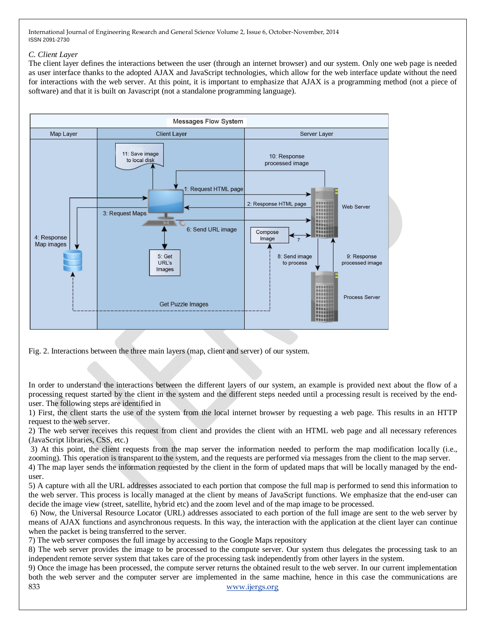#### *C. Client Layer*

The client layer defines the interactions between the user (through an internet browser) and our system. Only one web page is needed as user interface thanks to the adopted AJAX and JavaScript technologies, which allow for the web interface update without the need for interactions with the web server. At this point, it is important to emphasize that AJAX is a programming method (not a piece of software) and that it is built on Javascript (not a standalone programming language).



Fig. 2. Interactions between the three main layers (map, client and server) of our system.

In order to understand the interactions between the different layers of our system, an example is provided next about the flow of a processing request started by the client in the system and the different steps needed until a processing result is received by the enduser. The following steps are identified in

1) First, the client starts the use of the system from the local internet browser by requesting a web page. This results in an HTTP request to the web server.

2) The web server receives this request from client and provides the client with an HTML web page and all necessary references (JavaScript libraries, CSS, etc.)

3) At this point, the client requests from the map server the information needed to perform the map modification locally (i.e., zooming). This operation is transparent to the system, and the requests are performed via messages from the client to the map server. 4) The map layer sends the information requested by the client in the form of updated maps that will be locally managed by the enduser.

5) A capture with all the URL addresses associated to each portion that compose the full map is performed to send this information to the web server. This process is locally managed at the client by means of JavaScript functions. We emphasize that the end-user can decide the image view (street, satellite, hybrid etc) and the zoom level and of the map image to be processed.

6) Now, the Universal Resource Locator (URL) addresses associated to each portion of the full image are sent to the web server by means of AJAX functions and asynchronous requests. In this way, the interaction with the application at the client layer can continue when the packet is being transferred to the server.

7) The web server composes the full image by accessing to the Google Maps repository

8) The web server provides the image to be processed to the compute server. Our system thus delegates the processing task to an independent remote server system that takes care of the processing task independently from other layers in the system.

833 www.ijergs.org 9) Once the image has been processed, the compute server returns the obtained result to the web server. In our current implementation both the web server and the computer server are implemented in the same machine, hence in this case the communications are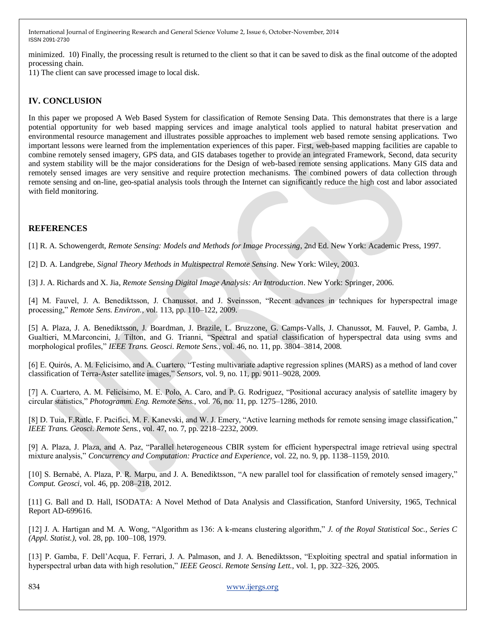minimized. 10) Finally, the processing result is returned to the client so that it can be saved to disk as the final outcome of the adopted processing chain.

11) The client can save processed image to local disk.

# **IV. CONCLUSION**

In this paper we proposed A Web Based System for classification of Remote Sensing Data. This demonstrates that there is a large potential opportunity for web based mapping services and image analytical tools applied to natural habitat preservation and environmental resource management and illustrates possible approaches to implement web based remote sensing applications. Two important lessons were learned from the implementation experiences of this paper. First, web-based mapping facilities are capable to combine remotely sensed imagery, GPS data, and GIS databases together to provide an integrated Framework, Second, data security and system stability will be the major considerations for the Design of web-based remote sensing applications. Many GIS data and remotely sensed images are very sensitive and require protection mechanisms. The combined powers of data collection through remote sensing and on-line, geo-spatial analysis tools through the Internet can significantly reduce the high cost and labor associated with field monitoring.

### **REFERENCES**

[1] R. A. Schowengerdt*, Remote Sensing: Models and Methods for Image Processing*, 2nd Ed. New York: Academic Press, 1997.

[2] D. A. Landgrebe*, Signal Theory Methods in Multispectral Remote Sensing*. New York: Wiley, 2003.

[3] J. A. Richards and X. Jia*, Remote Sensing Digital Image Analysis: An Introduction*. New York: Springer, 2006.

[4] M. Fauvel, J. A. Benediktsson, J. Chanussot, and J. Sveinsson, "Recent advances in techniques for hyperspectral image processing," *Remote Sens. Environ.*, vol. 113, pp. 110–122, 2009.

[5] A. Plaza, J. A. Benediktsson, J. Boardman, J. Brazile, L. Bruzzone, G. Camps-Valls, J. Chanussot, M. Fauvel, P. Gamba, J. Gualtieri, M.Marconcini, J. Tilton, and G. Trianni, "Spectral and spatial classification of hyperspectral data using svms and morphological profiles," *IEEE Trans. Geosci. Remote Sens.*, vol. 46, no. 11, pp. 3804–3814, 2008.

[6] E. Quirós, A. M. Felicísimo, and A. Cuartero, "Testing multivariate adaptive regression splines (MARS) as a method of land cover classification of Terra-Aster satellite images," *Sensors*, vol. 9, no. 11, pp. 9011–9028, 2009.

[7] A. Cuartero, A. M. Felicísimo, M. E. Polo, A. Caro, and P. G. Rodriguez, "Positional accuracy analysis of satellite imagery by circular statistics," *Photogramm. Eng. Remote Sens.*, vol. 76, no. 11, pp. 1275–1286, 2010.

[8] D. Tuia, F.Ratle, F. Pacifici, M. F. Kanevski, and W. J. Emery, "Active learning methods for remote sensing image classification," *IEEE Trans. Geosci. Remote Sens.*, vol. 47, no. 7, pp. 2218–2232, 2009.

[9] A. Plaza, J. Plaza, and A. Paz, "Parallel heterogeneous CBIR system for efficient hyperspectral image retrieval using spectral mixture analysis," *Concurrency and Computation: Practice and Experience*, vol. 22, no. 9, pp. 1138–1159, 2010.

[10] S. Bernabé, A. Plaza, P. R. Marpu, and J. A. Benediktsson, "A new parallel tool for classification of remotely sensed imagery," *Comput. Geosci,* vol. 46, pp. 208–218, 2012.

[11] G. Ball and D. Hall, ISODATA: A Novel Method of Data Analysis and Classification, Stanford University, 1965, Technical Report AD-699616.

[12] J. A. Hartigan and M. A. Wong, "Algorithm as 136: A k-means clustering algorithm," *J. of the Royal Statistical Soc., Series C (Appl. Statist.)*, vol. 28, pp. 100–108, 1979.

[13] P. Gamba, F. Dell'Acqua, F. Ferrari, J. A. Palmason, and J. A. Benediktsson, "Exploiting spectral and spatial information in hyperspectral urban data with high resolution," *IEEE Geosci. Remote Sensing Lett.*, vol. 1, pp. 322–326, 2005.